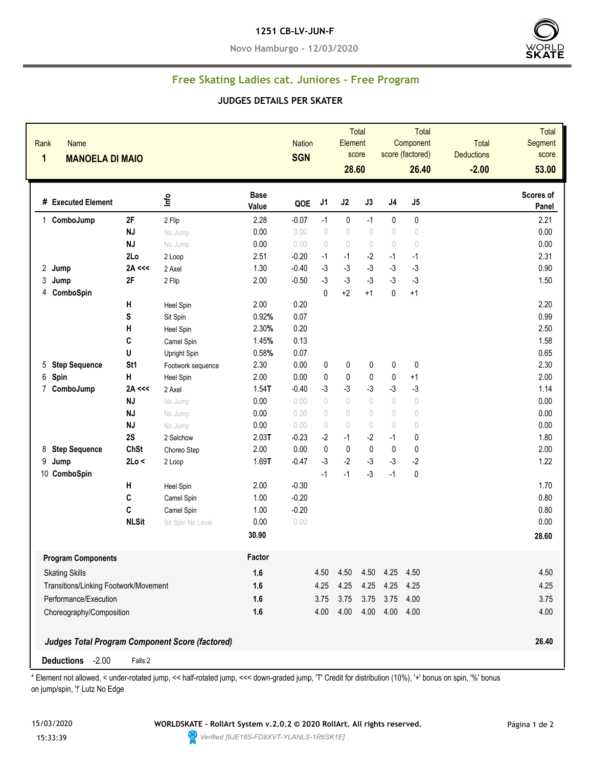## **1251 CB-LV-JUN-F**

**Novo Hamburgo - 12/03/2020**



## **Free Skating Ladies cat. Juniores - Free Program**

## **JUDGES DETAILS PER SKATER**

| Rank<br>Name<br>$\mathbf{1}$<br><b>MANOELA DI MAIO</b> |              |                                                 |                      | <b>Nation</b><br><b>SGN</b> |                                  | Total<br>Element<br>score<br>28.60 |            |                                  | Total<br>Component<br>score (factored)<br>26.40 | Total<br><b>Deductions</b><br>$-2.00$ | <b>Total</b><br>Segment<br>score<br>53.00 |
|--------------------------------------------------------|--------------|-------------------------------------------------|----------------------|-----------------------------|----------------------------------|------------------------------------|------------|----------------------------------|-------------------------------------------------|---------------------------------------|-------------------------------------------|
| # Executed Element                                     |              | ١π                                              | <b>Base</b><br>Value | QOE                         | J1                               | J2                                 | J3         | $\sf J4$                         | J5                                              |                                       | Scores of<br>Panel                        |
| 1 ComboJump                                            | 2F           | 2 Flip                                          | 2.28                 | $-0.07$                     | $-1$                             | 0                                  | $-1$       | 0                                | $\pmb{0}$                                       |                                       | 2.21                                      |
|                                                        | <b>NJ</b>    | No Jump                                         | 0.00                 | 0.00                        | $\begin{array}{c} \n\end{array}$ | $\begin{array}{c} \n\end{array}$   | 0          | $\begin{array}{c} \n\end{array}$ | $\bigcirc$                                      |                                       | 0.00                                      |
|                                                        | <b>NJ</b>    | No Jump                                         | 0.00                 | 0.00                        | $\begin{array}{c} \n\end{array}$ | $\begin{array}{c} \n\end{array}$   | $\bigcirc$ | $\begin{array}{c} \n\end{array}$ | $\circ$                                         |                                       | 0.00                                      |
|                                                        | 2Lo          | 2 Loop                                          | 2.51                 | $-0.20$                     | $-1$                             | $-1$                               | $-2$       | $-1$                             | $-1$                                            |                                       | 2.31                                      |
| 2 Jump                                                 | 2A <<        | 2 Axel                                          | 1.30                 | $-0.40$                     | $-3$                             | $-3$                               | $-3$       | $-3$                             | $-3$                                            |                                       | 0.90                                      |
| 3<br>Jump                                              | 2F           | 2 Flip                                          | 2.00                 | $-0.50$                     | $-3$                             | $-3$                               | $-3$       | $-3$                             | $-3$                                            |                                       | 1.50                                      |
| ComboSpin<br>4                                         |              |                                                 |                      |                             | $\pmb{0}$                        | $+2$                               | $+1$       | $\mathbf 0$                      | $+1$                                            |                                       |                                           |
|                                                        | Н            | Heel Spin                                       | 2.00                 | 0.20                        |                                  |                                    |            |                                  |                                                 |                                       | 2.20                                      |
|                                                        | S            | Sit Spin                                        | 0.92%                | 0.07                        |                                  |                                    |            |                                  |                                                 |                                       | 0.99                                      |
|                                                        | Н            | Heel Spin                                       | 2.30%                | 0.20                        |                                  |                                    |            |                                  |                                                 |                                       | 2.50                                      |
|                                                        | C            | Camel Spin                                      | 1.45%                | 0.13                        |                                  |                                    |            |                                  |                                                 |                                       | 1.58                                      |
|                                                        | U            | Upright Spin                                    | 0.58%                | 0.07                        |                                  |                                    |            |                                  |                                                 |                                       | 0.65                                      |
| <b>Step Sequence</b><br>5                              | St1          | Footwork sequence                               | 2.30                 | 0.00                        | 0                                | 0                                  | 0          | $\pmb{0}$                        | $\mathbf 0$                                     |                                       | 2.30                                      |
| 6<br>Spin                                              | н            | Heel Spin                                       | 2.00                 | 0.00                        | 0                                | 0                                  | 0          | 0                                | $+1$                                            |                                       | 2.00                                      |
| 7<br>ComboJump                                         | 2A <<        | 2 Axel                                          | $1.54$ T             | $-0.40$                     | $-3$                             | $-3$                               | $-3$       | $-3$                             | $-3$                                            |                                       | 1.14                                      |
|                                                        | <b>NJ</b>    | No Jump                                         | 0.00                 | 0.00                        | $\bigcirc$                       | $\bigcirc$                         | $\bigcirc$ | $\bigcirc$                       | $\circ$                                         |                                       | 0.00                                      |
|                                                        | <b>NJ</b>    | No Jump                                         | 0.00                 | 0.00                        | $\circ$                          | $\begin{array}{c} \n\end{array}$   | $\bigcirc$ | $\begin{array}{c} \n\end{array}$ | $\bigcirc$                                      |                                       | 0.00                                      |
|                                                        | <b>NJ</b>    | No Jump                                         | 0.00                 | 0.00                        | $\begin{array}{c} \n\end{array}$ | $\begin{array}{c} \n\end{array}$   | 0          | $\sqrt{2}$                       | $\begin{array}{c} \n\end{array}$                |                                       | 0.00                                      |
|                                                        | 2S           | 2 Salchow                                       | 2.03T                | $-0.23$                     | $-2$                             | $-1$                               | $-2$       | $-1$                             | 0                                               |                                       | 1.80                                      |
| <b>Step Sequence</b><br>8                              | ChSt         | Choreo Step                                     | 2.00                 | 0.00                        | $\mathbf 0$                      | $\mathbf 0$                        | 0          | $\mathbf{0}$                     | 0                                               |                                       | 2.00                                      |
| 9<br>Jump                                              | 2Lo <        | 2 Loop                                          | 1.69T                | $-0.47$                     | $-3$                             | $-2$                               | $-3$       | $-3$                             | $-2$                                            |                                       | 1.22                                      |
| 10 ComboSpin                                           |              |                                                 |                      |                             | $-1$                             | $-1$                               | $-3$       | $-1$                             | 0                                               |                                       |                                           |
|                                                        | Н            | Heel Spin                                       | 2.00                 | $-0.30$                     |                                  |                                    |            |                                  |                                                 |                                       | 1.70                                      |
|                                                        | C            | Camel Spin                                      | 1.00                 | $-0.20$                     |                                  |                                    |            |                                  |                                                 |                                       | 0.80                                      |
|                                                        | C            | Camel Spin                                      | 1.00                 | $-0.20$                     |                                  |                                    |            |                                  |                                                 |                                       | 0.80                                      |
|                                                        | <b>NLSit</b> | Sit Spin No Level                               | 0.00                 | 0.00                        |                                  |                                    |            |                                  |                                                 |                                       | 0.00                                      |
|                                                        |              |                                                 | 30.90                |                             |                                  |                                    |            |                                  |                                                 |                                       | 28.60                                     |
| <b>Program Components</b>                              |              |                                                 | Factor               |                             |                                  |                                    |            |                                  |                                                 |                                       |                                           |
| <b>Skating Skills</b>                                  |              | 1.6                                             |                      | 4.50                        | 4.50                             | 4.50                               | 4.25       | 4.50                             |                                                 | 4.50                                  |                                           |
| Transitions/Linking Footwork/Movement                  |              |                                                 | 1.6                  |                             | 4.25                             | 4.25                               | 4.25       | 4.25 4.25                        |                                                 |                                       | 4.25                                      |
| Performance/Execution                                  |              |                                                 | 1.6                  |                             | 3.75                             | 3.75                               | 3.75       | 3.75 4.00                        |                                                 |                                       | 3.75                                      |
| Choreography/Composition                               |              | 1.6                                             |                      | 4.00                        | 4.00                             | 4.00                               | 4.00 4.00  |                                  |                                                 | 4.00                                  |                                           |
|                                                        |              |                                                 |                      |                             |                                  |                                    |            |                                  |                                                 |                                       |                                           |
|                                                        |              | Judges Total Program Component Score (factored) |                      |                             |                                  |                                    |            |                                  |                                                 |                                       | 26.40                                     |

\* Element not allowed, < under-rotated jump, << half-rotated jump, <<< down-graded jump, 'T' Credit for distribution (10%), '+' bonus on spin, '%' bonus on jump/spin, '!' Lutz No Edge